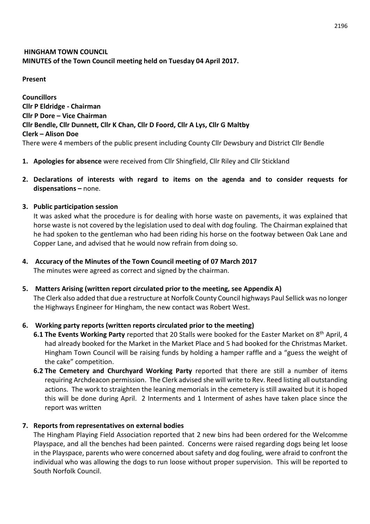# **HINGHAM TOWN COUNCIL MINUTES of the Town Council meeting held on Tuesday 04 April 2017.**

#### **Present**

**Councillors Cllr P Eldridge - Chairman Cllr P Dore – Vice Chairman Cllr Bendle, Cllr Dunnett, Cllr K Chan, Cllr D Foord, Cllr A Lys, Cllr G Maltby Clerk – Alison Doe** There were 4 members of the public present including County Cllr Dewsbury and District Cllr Bendle

- **1. Apologies for absence** were received from Cllr Shingfield, Cllr Riley and Cllr Stickland
- **2. Declarations of interests with regard to items on the agenda and to consider requests for dispensations –** none.
- **3. Public participation session**

It was asked what the procedure is for dealing with horse waste on pavements, it was explained that horse waste is not covered by the legislation used to deal with dog fouling. The Chairman explained that he had spoken to the gentleman who had been riding his horse on the footway between Oak Lane and Copper Lane, and advised that he would now refrain from doing so.

- **4. Accuracy of the Minutes of the Town Council meeting of 07 March 2017** The minutes were agreed as correct and signed by the chairman.
- **5. Matters Arising (written report circulated prior to the meeting, see Appendix A)** The Clerk also added that due a restructure at Norfolk County Council highways Paul Sellick was no longer the Highways Engineer for Hingham, the new contact was Robert West.

# **6. Working party reports (written reports circulated prior to the meeting)**

- **6.1 The Events Working Party** reported that 20 Stalls were booked for the Easter Market on 8th April, 4 had already booked for the Market in the Market Place and 5 had booked for the Christmas Market. Hingham Town Council will be raising funds by holding a hamper raffle and a "guess the weight of the cake" competition.
- **6.2 The Cemetery and Churchyard Working Party** reported that there are still a number of items requiring Archdeacon permission. The Clerk advised she will write to Rev. Reed listing all outstanding actions. The work to straighten the leaning memorials in the cemetery is still awaited but it is hoped this will be done during April. 2 Interments and 1 Interment of ashes have taken place since the report was written

### **7. Reports from representatives on external bodies**

The Hingham Playing Field Association reported that 2 new bins had been ordered for the Welcomme Playspace, and all the benches had been painted. Concerns were raised regarding dogs being let loose in the Playspace, parents who were concerned about safety and dog fouling, were afraid to confront the individual who was allowing the dogs to run loose without proper supervision. This will be reported to South Norfolk Council.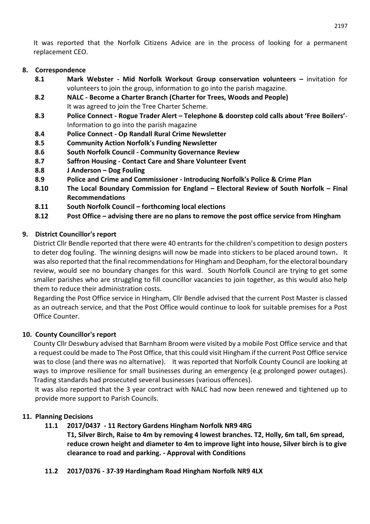It was reported that the Norfolk Citizens Advice are in the process of looking for a permanent replacement CEO.

### **8. Correspondence**

- **8.1 Mark Webster - Mid Norfolk Workout Group conservation volunteers –** invitation for volunteers to join the group, information to go into the parish magazine.
- **8.2 NALC - Become a Charter Branch (Charter for Trees, Woods and People)** It was agreed to join the Tree Charter Scheme.
- **8.3 Police Connect - Rogue Trader Alert – Telephone & doorstep cold calls about 'Free Boilers'** Information to go into the parish magazine
- **8.4 Police Connect - Op Randall Rural Crime Newsletter**
- **8.5 Community Action Norfolk's Funding Newsletter**
- **8.6 South Norfolk Council - Community Governance Review**
- **8.7 Saffron Housing - Contact Care and Share Volunteer Event**
- **8.8 J Anderson – Dog Fouling**
- **8.9 Police and Crime and Commissioner - Introducing Norfolk's Police & Crime Plan**
- **8.10 The Local Boundary Commission for England – Electoral Review of South Norfolk – Final Recommendations**
- **8.11 South Norfolk Council – forthcoming local elections**
- **8.12 Post Office – advising there are no plans to remove the post office service from Hingham**

# **9. District Councillor's report**

District Cllr Bendle reported that there were 40 entrants for the children's competition to design posters to deter dog fouling. The winning designs will now be made into stickers to be placed around town**.** It was also reported that the final recommendations for Hingham and Deopham, for the electoral boundary review, would see no boundary changes for this ward. South Norfolk Council are trying to get some smaller parishes who are struggling to fill councillor vacancies to join together, as this would also help them to reduce their administration costs.

Regarding the Post Office service in Hingham, Cllr Bendle advised that the current Post Master is classed as an outreach service, and that the Post Office would continue to look for suitable premises for a Post Office Counter.

### **10. County Councillor's report**

County Cllr Deswbury advised that Barnham Broom were visited by a mobile Post Office service and that a request could be made to The Post Office, that this could visit Hingham if the current Post Office service was to close (and there was no alternative). It was reported that Norfolk County Council are looking at ways to improve resilience for small businesses during an emergency (e.g prolonged power outages). Trading standards had prosecuted several businesses (various offences).

It was also reported that the 3 year contract with NALC had now been renewed and tightened up to provide more support to Parish Councils.

### **11. Planning Decisions**

- **11.1 2017/0437 - 11 Rectory Gardens Hingham Norfolk NR9 4RG**
	- **T1, Silver Birch, Raise to 4m by removing 4 lowest branches. T2, Holly, 6m tall, 6m spread, reduce crown height and diameter to 4m to improve light into house, Silver birch is to give clearance to road and parking. - Approval with Conditions**
- **11.2 2017/0376 - 37-39 Hardingham Road Hingham Norfolk NR9 4LX**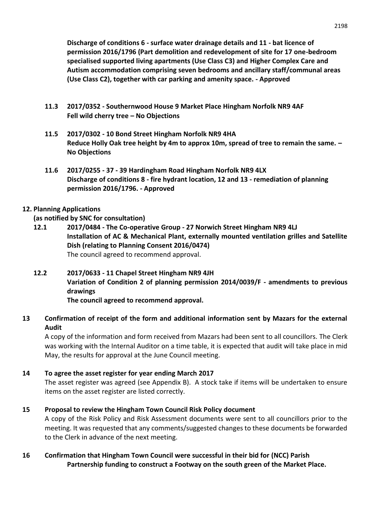**Discharge of conditions 6 - surface water drainage details and 11 - bat licence of permission 2016/1796 (Part demolition and redevelopment of site for 17 one-bedroom specialised supported living apartments (Use Class C3) and Higher Complex Care and Autism accommodation comprising seven bedrooms and ancillary staff/communal areas (Use Class C2), together with car parking and amenity space. - Approved**

- **11.3 2017/0352 - Southernwood House 9 Market Place Hingham Norfolk NR9 4AF Fell wild cherry tree – No Objections**
- **11.5 2017/0302 - 10 Bond Street Hingham Norfolk NR9 4HA Reduce Holly Oak tree height by 4m to approx 10m, spread of tree to remain the same. – No Objections**
- **11.6 2017/0255 - 37 - 39 Hardingham Road Hingham Norfolk NR9 4LX Discharge of conditions 8 - fire hydrant location, 12 and 13 - remediation of planning permission 2016/1796. - Approved**

# **12. Planning Applications**

### **(as notified by SNC for consultation)**

**12.1 2017/0484 - The Co-operative Group - 27 Norwich Street Hingham NR9 4LJ Installation of AC & Mechanical Plant, externally mounted ventilation grilles and Satellite Dish (relating to Planning Consent 2016/0474)** The council agreed to recommend approval.

# **12.2 2017/0633 - 11 Chapel Street Hingham NR9 4JH Variation of Condition 2 of planning permission 2014/0039/F - amendments to previous drawings**

**The council agreed to recommend approval.**

# **13 Confirmation of receipt of the form and additional information sent by Mazars for the external Audit**

A copy of the information and form received from Mazars had been sent to all councillors. The Clerk was working with the Internal Auditor on a time table, it is expected that audit will take place in mid May, the results for approval at the June Council meeting.

# **14 To agree the asset register for year ending March 2017**

The asset register was agreed (see Appendix B). A stock take if items will be undertaken to ensure items on the asset register are listed correctly.

# **15 Proposal to review the Hingham Town Council Risk Policy document**

A copy of the Risk Policy and Risk Assessment documents were sent to all councillors prior to the meeting. It was requested that any comments/suggested changes to these documents be forwarded to the Clerk in advance of the next meeting.

# **16 Confirmation that Hingham Town Council were successful in their bid for (NCC) Parish Partnership funding to construct a Footway on the south green of the Market Place.**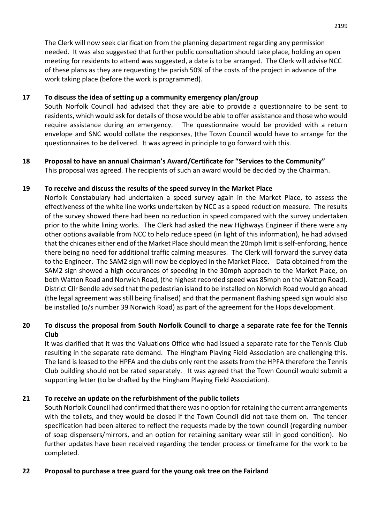The Clerk will now seek clarification from the planning department regarding any permission needed. It was also suggested that further public consultation should take place, holding an open meeting for residents to attend was suggested, a date is to be arranged. The Clerk will advise NCC of these plans as they are requesting the parish 50% of the costs of the project in advance of the work taking place (before the work is programmed).

### **17 To discuss the idea of setting up a community emergency plan/group**

South Norfolk Council had advised that they are able to provide a questionnaire to be sent to residents, which would ask for details of those would be able to offer assistance and those who would require assistance during an emergency. The questionnaire would be provided with a return envelope and SNC would collate the responses, (the Town Council would have to arrange for the questionnaires to be delivered. It was agreed in principle to go forward with this.

#### **18 Proposal to have an annual Chairman's Award/Certificate for "Services to the Community"** This proposal was agreed. The recipients of such an award would be decided by the Chairman.

### **19 To receive and discuss the results of the speed survey in the Market Place**

Norfolk Constabulary had undertaken a speed survey again in the Market Place, to assess the effectiveness of the white line works undertaken by NCC as a speed reduction measure. The results of the survey showed there had been no reduction in speed compared with the survey undertaken prior to the white lining works. The Clerk had asked the new Highways Engineer if there were any other options available from NCC to help reduce speed (in light of this information), he had advised that the chicanes either end of the Market Place should mean the 20mph limit is self-enforcing, hence there being no need for additional traffic calming measures. The Clerk will forward the survey data to the Engineer. The SAM2 sign will now be deployed in the Market Place. Data obtained from the SAM2 sign showed a high occurances of speeding in the 30mph approach to the Market Place, on both Watton Road and Norwich Road, (the highest recorded speed was 85mph on the Watton Road). District Cllr Bendle advised that the pedestrian island to be installed on Norwich Road would go ahead (the legal agreement was still being finalised) and that the permanent flashing speed sign would also be installed (o/s number 39 Norwich Road) as part of the agreement for the Hops development.

# **20 To discuss the proposal from South Norfolk Council to charge a separate rate fee for the Tennis Club**

It was clarified that it was the Valuations Office who had issued a separate rate for the Tennis Club resulting in the separate rate demand. The Hingham Playing Field Association are challenging this. The land is leased to the HPFA and the clubs only rent the assets from the HPFA therefore the Tennis Club building should not be rated separately. It was agreed that the Town Council would submit a supporting letter (to be drafted by the Hingham Playing Field Association).

### **21 To receive an update on the refurbishment of the public toilets**

South Norfolk Council had confirmed that there was no option for retaining the current arrangements with the toilets, and they would be closed if the Town Council did not take them on. The tender specification had been altered to reflect the requests made by the town council (regarding number of soap dispensers/mirrors, and an option for retaining sanitary wear still in good condition). No further updates have been received regarding the tender process or timeframe for the work to be completed.

#### **22 Proposal to purchase a tree guard for the young oak tree on the Fairland**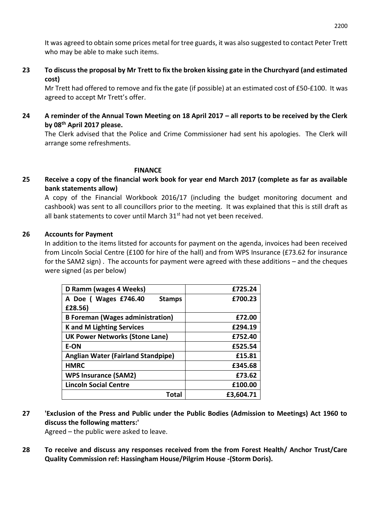It was agreed to obtain some prices metal for tree guards, it was also suggested to contact Peter Trett who may be able to make such items.

**23 To discuss the proposal by Mr Trett to fix the broken kissing gate in the Churchyard (and estimated cost)**

Mr Trett had offered to remove and fix the gate (if possible) at an estimated cost of £50-£100. It was agreed to accept Mr Trett's offer.

**24 A reminder of the Annual Town Meeting on 18 April 2017 – all reports to be received by the Clerk by 08th April 2017 please.**

The Clerk advised that the Police and Crime Commissioner had sent his apologies. The Clerk will arrange some refreshments.

#### **FINANCE**

**25 Receive a copy of the financial work book for year end March 2017 (complete as far as available bank statements allow)**

A copy of the Financial Workbook 2016/17 (including the budget monitoring document and cashbook) was sent to all councillors prior to the meeting. It was explained that this is still draft as all bank statements to cover until March 31<sup>st</sup> had not yet been received.

#### **26 Accounts for Payment**

In addition to the items litsted for accounts for payment on the agenda, invoices had been received from Lincoln Social Centre (£100 for hire of the hall) and from WPS Insurance (£73.62 for insurance for the SAM2 sign) . The accounts for payment were agreed with these additions – and the cheques were signed (as per below)

| D Ramm (wages 4 Weeks)                    | £725.24   |  |  |  |
|-------------------------------------------|-----------|--|--|--|
| A Doe ( Wages £746.40<br><b>Stamps</b>    | £700.23   |  |  |  |
| £28.56)                                   |           |  |  |  |
| <b>B Foreman (Wages administration)</b>   | £72.00    |  |  |  |
| <b>K</b> and M Lighting Services          | £294.19   |  |  |  |
| <b>UK Power Networks (Stone Lane)</b>     | £752.40   |  |  |  |
| <b>E-ON</b>                               | £525.54   |  |  |  |
| <b>Anglian Water (Fairland Standpipe)</b> | £15.81    |  |  |  |
| <b>HMRC</b>                               | £345.68   |  |  |  |
| <b>WPS Insurance (SAM2)</b>               | £73.62    |  |  |  |
| <b>Lincoln Social Centre</b>              | £100.00   |  |  |  |
| Total                                     | £3,604.71 |  |  |  |

**27 'Exclusion of the Press and Public under the Public Bodies (Admission to Meetings) Act 1960 to discuss the following matters:'** 

Agreed – the public were asked to leave.

**28 To receive and discuss any responses received from the from Forest Health/ Anchor Trust/Care Quality Commission ref: Hassingham House/Pilgrim House -(Storm Doris).**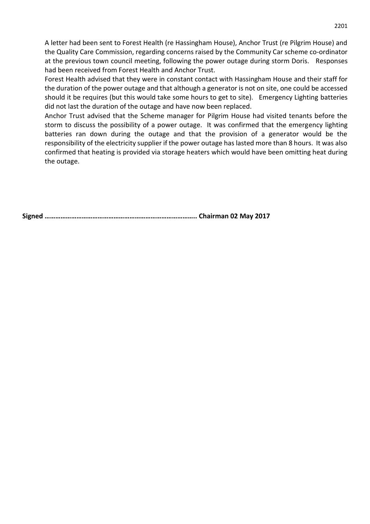A letter had been sent to Forest Health (re Hassingham House), Anchor Trust (re Pilgrim House) and the Quality Care Commission, regarding concerns raised by the Community Car scheme co-ordinator at the previous town council meeting, following the power outage during storm Doris. Responses had been received from Forest Health and Anchor Trust.

Forest Health advised that they were in constant contact with Hassingham House and their staff for the duration of the power outage and that although a generator is not on site, one could be accessed should it be requires (but this would take some hours to get to site). Emergency Lighting batteries did not last the duration of the outage and have now been replaced.

Anchor Trust advised that the Scheme manager for Pilgrim House had visited tenants before the storm to discuss the possibility of a power outage. It was confirmed that the emergency lighting batteries ran down during the outage and that the provision of a generator would be the responsibility of the electricity supplier if the power outage has lasted more than 8 hours. It was also confirmed that heating is provided via storage heaters which would have been omitting heat during the outage.

**Signed ………………………………………………………………………….. Chairman 02 May 2017**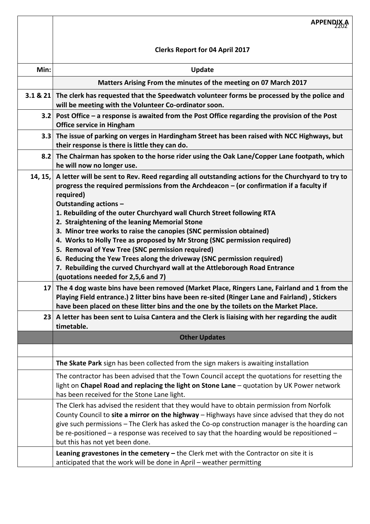|                 | <b>APPENDIX A</b>                                                                                                                                                                                                                                                                                                                                                                                                              |
|-----------------|--------------------------------------------------------------------------------------------------------------------------------------------------------------------------------------------------------------------------------------------------------------------------------------------------------------------------------------------------------------------------------------------------------------------------------|
|                 | <b>Clerks Report for 04 April 2017</b>                                                                                                                                                                                                                                                                                                                                                                                         |
| Min:            | <b>Update</b>                                                                                                                                                                                                                                                                                                                                                                                                                  |
|                 | Matters Arising From the minutes of the meeting on 07 March 2017                                                                                                                                                                                                                                                                                                                                                               |
|                 | 3.1 & 21 The clerk has requested that the Speedwatch volunteer forms be processed by the police and<br>will be meeting with the Volunteer Co-ordinator soon.                                                                                                                                                                                                                                                                   |
|                 | 3.2 Post Office – a response is awaited from the Post Office regarding the provision of the Post<br><b>Office service in Hingham</b>                                                                                                                                                                                                                                                                                           |
| 3.3             | The issue of parking on verges in Hardingham Street has been raised with NCC Highways, but<br>their response is there is little they can do.                                                                                                                                                                                                                                                                                   |
|                 | 8.2 The Chairman has spoken to the horse rider using the Oak Lane/Copper Lane footpath, which<br>he will now no longer use.                                                                                                                                                                                                                                                                                                    |
| 14, 15,         | A letter will be sent to Rev. Reed regarding all outstanding actions for the Churchyard to try to<br>progress the required permissions from the Archdeacon $-$ (or confirmation if a faculty if<br>required)<br>Outstanding actions -<br>1. Rebuilding of the outer Churchyard wall Church Street following RTA                                                                                                                |
|                 | 2. Straightening of the leaning Memorial Stone                                                                                                                                                                                                                                                                                                                                                                                 |
|                 | 3. Minor tree works to raise the canopies (SNC permission obtained)<br>4. Works to Holly Tree as proposed by Mr Strong (SNC permission required)                                                                                                                                                                                                                                                                               |
|                 | 5. Removal of Yew Tree (SNC permission required)                                                                                                                                                                                                                                                                                                                                                                               |
|                 | 6. Reducing the Yew Trees along the driveway (SNC permission required)                                                                                                                                                                                                                                                                                                                                                         |
|                 | 7. Rebuilding the curved Churchyard wall at the Attleborough Road Entrance<br>(quotations needed for 2,5,6 and 7)                                                                                                                                                                                                                                                                                                              |
| 17 <sup>1</sup> | The 4 dog waste bins have been removed (Market Place, Ringers Lane, Fairland and 1 from the<br>Plaving Field entrance.) 2 litter bins have been re-sited (Ringer Lane and Fairland) . Stickers<br>have been placed on these litter bins and the one by the toilets on the Market Place.                                                                                                                                        |
|                 | 23 A letter has been sent to Luisa Cantera and the Clerk is liaising with her regarding the audit<br>timetable.                                                                                                                                                                                                                                                                                                                |
|                 | <b>Other Updates</b>                                                                                                                                                                                                                                                                                                                                                                                                           |
|                 |                                                                                                                                                                                                                                                                                                                                                                                                                                |
|                 | The Skate Park sign has been collected from the sign makers is awaiting installation                                                                                                                                                                                                                                                                                                                                           |
|                 | The contractor has been advised that the Town Council accept the quotations for resetting the<br>light on Chapel Road and replacing the light on Stone Lane - quotation by UK Power network<br>has been received for the Stone Lane light.                                                                                                                                                                                     |
|                 | The Clerk has advised the resident that they would have to obtain permission from Norfolk<br>County Council to site a mirror on the highway - Highways have since advised that they do not<br>give such permissions - The Clerk has asked the Co-op construction manager is the hoarding can<br>be re-positioned - a response was received to say that the hoarding would be repositioned -<br>but this has not yet been done. |
|                 | Leaning gravestones in the cemetery $-$ the Clerk met with the Contractor on site it is<br>anticipated that the work will be done in April - weather permitting                                                                                                                                                                                                                                                                |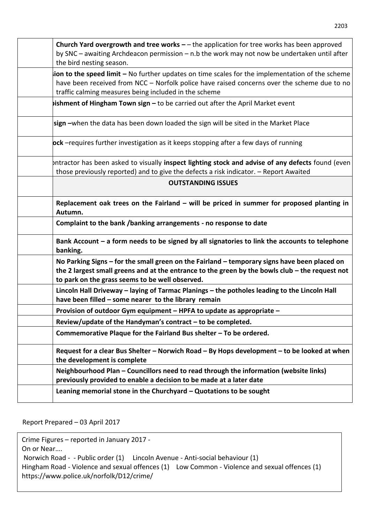| Church Yard overgrowth and tree works $-$ the application for tree works has been approved<br>by SNC - awaiting Archdeacon permission - n.b the work may not now be undertaken until after<br>the bird nesting season.                                  |
|---------------------------------------------------------------------------------------------------------------------------------------------------------------------------------------------------------------------------------------------------------|
| ion to the speed limit - No further updates on time scales for the implementation of the scheme<br>have been received from NCC - Norfolk police have raised concerns over the scheme due to no<br>traffic calming measures being included in the scheme |
| <b>ishment of Hingham Town sign - to be carried out after the April Market event</b>                                                                                                                                                                    |
| sign -when the data has been down loaded the sign will be sited in the Market Place                                                                                                                                                                     |
| <b>pck</b> -requires further investigation as it keeps stopping after a few days of running                                                                                                                                                             |
| Intractor has been asked to visually inspect lighting stock and advise of any defects found (even<br>those previously reported) and to give the defects a risk indicator. - Report Awaited                                                              |
| <b>OUTSTANDING ISSUES</b>                                                                                                                                                                                                                               |
| Replacement oak trees on the Fairland $-$ will be priced in summer for proposed planting in<br>Autumn.                                                                                                                                                  |
| Complaint to the bank /banking arrangements - no response to date                                                                                                                                                                                       |
| Bank Account - a form needs to be signed by all signatories to link the accounts to telephone<br>banking.                                                                                                                                               |
| No Parking Signs – for the small green on the Fairland – temporary signs have been placed on<br>the 2 largest small greens and at the entrance to the green by the bowls club $-$ the request not<br>to park on the grass seems to be well observed.    |
| Lincoln Hall Driveway - laying of Tarmac Planings - the potholes leading to the Lincoln Hall<br>have been filled – some nearer to the library remain                                                                                                    |
| Provision of outdoor Gym equipment - HPFA to update as appropriate -                                                                                                                                                                                    |
| Review/update of the Handyman's contract - to be completed.                                                                                                                                                                                             |
| Commemorative Plaque for the Fairland Bus shelter - To be ordered.                                                                                                                                                                                      |
| Request for a clear Bus Shelter - Norwich Road - By Hops development - to be looked at when<br>the development is complete                                                                                                                              |
| Neighbourhood Plan - Councillors need to read through the information (website links)<br>previously provided to enable a decision to be made at a later date                                                                                            |
| Leaning memorial stone in the Churchyard - Quotations to be sought                                                                                                                                                                                      |
|                                                                                                                                                                                                                                                         |

Report Prepared – 03 April 2017

Crime Figures – reported in January 2017 -

On or Near….

Norwich Road - - Public order (1) Lincoln Avenue - Anti-social behaviour (1)

Hingham Road - Violence and sexual offences (1) Low Common - Violence and sexual offences (1) https://www.police.uk/norfolk/D12/crime/